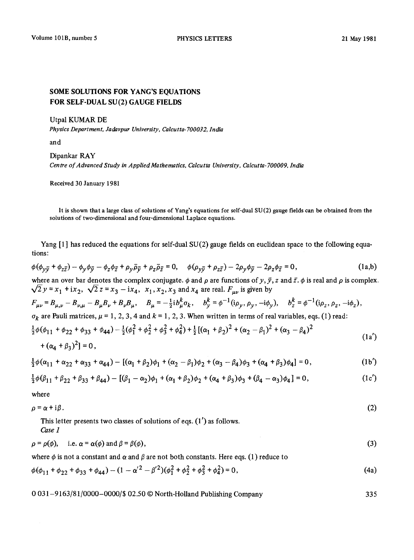## **SOME SOLUTIONS FOR YANG'S EQUATIONS FOR SELF-DUAL SU(2) GAUGE FIELDS**

Utpal KUMAR DE

*Physics Department, Jadavpur University, Calcutta-700032, India* 

and

## Dipankar RAY

*Centre of Advanced Study in Applied Mathematics, Calcutta University, Calcutta-700009, India* 

Received 30 January 1981

It is shown that a large class of solutions of Yang's equations for self-dual SU (2) gauge fields can be obtained from the solutions of two-dimensional and four-dimensional Laplace equations.

Yang  $[1]$  has reduced the equations for self-dual  $SU(2)$  gauge fields on euclidean space to the following equations:

$$
\phi(\phi_{y\bar{y}} + \phi_{z\bar{z}}) - \phi_y \phi_{\bar{y}} - \phi_z \phi_{\bar{z}} + \rho_y \bar{\rho}_{\bar{y}} + \rho_z \bar{\rho}_{\bar{z}} = 0, \quad \phi(\rho_{y\bar{y}} + \rho_{z\bar{z}}) - 2\rho_y \phi_{\bar{y}} - 2\rho_z \phi_{\bar{z}} = 0,
$$
(1a,b)

where an over bar denotes the complex conjugate.  $\phi$  and  $\rho$  are functions of y,  $\bar{y}$ , z and  $\bar{z}$ .  $\phi$  is real and  $\rho$  is complex.  $\sqrt{2}y = x_1 + ix_2$ ,  $\sqrt{2}z = x_3 - ix_4$ ,  $x_1, x_2, x_3$  and  $x_4$  are real.  $F_{\mu\nu}$  is given by

 $F_{\mu\nu} = B_{\mu,\nu} - B_{\nu,\mu} - B_{\mu}B_{\nu} + B_{\nu}B_{\mu}, \quad B_{\mu} = -\frac{1}{2}i b_{\mu}^{k}\sigma_{k}, \quad b_{\nu}^{k} = \phi^{-1}(i\rho_{\nu}, \rho_{\nu}, -i\phi_{\nu}), \quad b_{z}^{k} = \phi^{-1}(i\rho_{z}, \rho_{z}, -i\phi_{z}),$ 

 $\sigma_k$  are Pauli matrices,  $\mu = 1, 2, 3, 4$  and  $k = 1, 2, 3$ . When written in terms of real variables, eqs. (1) read:

$$
\frac{1}{2}\phi(\phi_{11} + \phi_{22} + \phi_{33} + \phi_{44}) - \frac{1}{2}(\phi_1^2 + \phi_2^2 + \phi_3^2 + \phi_4^2) + \frac{1}{2}[(\alpha_1 + \beta_2)^2 + (\alpha_2 - \beta_1)^2 + (\alpha_3 - \beta_4)^2 + (\alpha_4 + \beta_3)^2] = 0,
$$
\n(1a')

$$
\frac{1}{2}\phi(\alpha_{11} + \alpha_{22} + \alpha_{33} + \alpha_{44}) - [(\alpha_1 + \beta_2)\phi_1 + (\alpha_2 - \beta_1)\phi_2 + (\alpha_3 - \beta_4)\phi_3 + (\alpha_4 + \beta_3)\phi_4] = 0, \qquad (1b')
$$

$$
\frac{1}{2}\phi(\beta_{11} + \beta_{22} + \beta_{33} + \beta_{44}) - [(\beta_1 - \alpha_2)\phi_1 + (\alpha_1 + \beta_2)\phi_2 + (\alpha_4 + \beta_3)\phi_3 + (\beta_4 - \alpha_3)\phi_4] = 0, \qquad (1c')
$$

where

$$
\rho = \alpha + i\beta. \tag{2}
$$

This letter presents two classes of solutions of eqs. (1') as follows. *Case 1* 

 $\rho = \rho(\phi), \quad \text{i.e. } \alpha = \alpha(\phi) \text{ and } \beta = \beta(\phi),$  (3)

where  $\phi$  is not a constant and  $\alpha$  and  $\beta$  are not both constants. Here eqs. (1) reduce to

$$
\phi(\phi_{11} + \phi_{22} + \phi_{33} + \phi_{44}) - (1 - \alpha'^2 - \beta'^2)(\phi_1^2 + \phi_2^2 + \phi_3^2 + \phi_4^2) = 0,
$$
\n(4a)

0 031-9163/81/0000-0000/\$ 02.50 © North-Holland Publishing Company 335